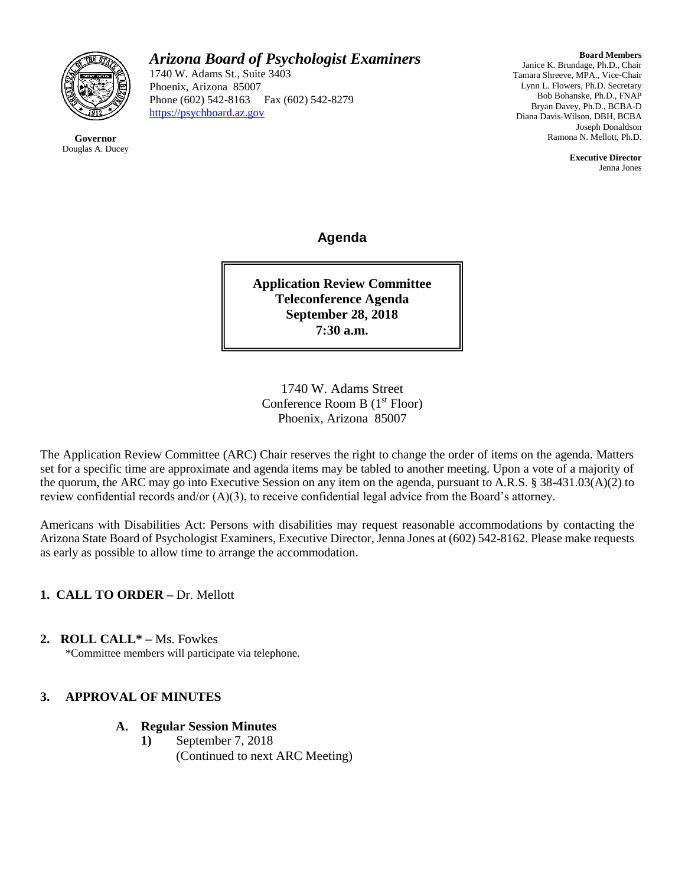

**Governor** Douglas A. Ducey *Arizona Board of Psychologist Examiners*

1740 W. Adams St., Suite 3403 Phoenix, Arizona 85007 Phone (602) 542-8163 Fax (602) 542-8279 [https://psychboard.az.gov](https://psychboard.az.gov/) 

**Board Members** Janice K. Brundage, Ph.D., Chair Tamara Shreeve, MPA., Vice-Chair Lynn L. Flowers, Ph.D. Secretary Bob Bohanske, Ph.D., FNAP Bryan Davey, Ph.D., BCBA-D Diana Davis-Wilson, DBH, BCBA Joseph Donaldson Ramona N. Mellott, Ph.D.

> **Executive Director** Jenna Jones

**Agenda**

**Application Review Committee Teleconference Agenda September 28, 2018 7:30 a.m.**

1740 W. Adams Street Conference Room B  $(1<sup>st</sup> Floor)$ Phoenix, Arizona 85007

The Application Review Committee (ARC) Chair reserves the right to change the order of items on the agenda. Matters set for a specific time are approximate and agenda items may be tabled to another meeting. Upon a vote of a majority of the quorum, the ARC may go into Executive Session on any item on the agenda, pursuant to A.R.S. § 38-431.03(A)(2) to review confidential records and/or (A)(3), to receive confidential legal advice from the Board's attorney.

Americans with Disabilities Act: Persons with disabilities may request reasonable accommodations by contacting the Arizona State Board of Psychologist Examiners, Executive Director, Jenna Jones at (602) 542-8162. Please make requests as early as possible to allow time to arrange the accommodation.

**1. CALL TO ORDER –** Dr. Mellott

**2. ROLL CALL\* –** Ms. Fowkes

\*Committee members will participate via telephone.

# **3. APPROVAL OF MINUTES**

# **A. Regular Session Minutes**

**1)** September 7, 2018 (Continued to next ARC Meeting)